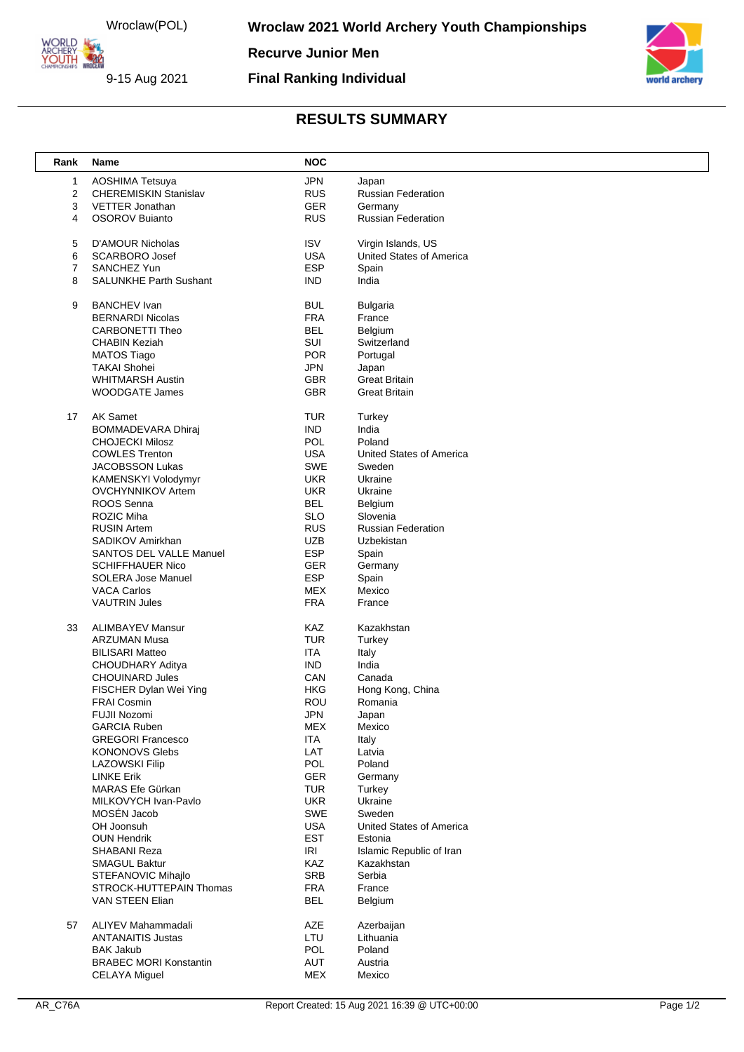Wroclaw(POL)

ORLD ARCHERY

9-15 Aug 2021

**Wroclaw 2021 World Archery Youth Championships** 

**Recurve Junior Men**

**Final Ranking Individual**



## **RESULTS SUMMARY**

| Rank | Name                           | <b>NOC</b> |                           |
|------|--------------------------------|------------|---------------------------|
| 1    | AOSHIMA Tetsuya                | <b>JPN</b> | Japan                     |
| 2    | <b>CHEREMISKIN Stanislav</b>   | <b>RUS</b> | <b>Russian Federation</b> |
| 3    | VETTER Jonathan                | <b>GER</b> | Germany                   |
| 4    | <b>OSOROV Bujanto</b>          | <b>RUS</b> | <b>Russian Federation</b> |
|      |                                |            |                           |
| 5    | <b>D'AMOUR Nicholas</b>        | <b>ISV</b> | Virgin Islands, US        |
| 6    | <b>SCARBORO Josef</b>          | <b>USA</b> | United States of America  |
| 7    | SANCHEZ Yun                    | <b>ESP</b> | Spain                     |
| 8    | <b>SALUNKHE Parth Sushant</b>  | <b>IND</b> | India                     |
| 9    | <b>BANCHEV</b> Ivan            | <b>BUL</b> | <b>Bulgaria</b>           |
|      | <b>BERNARDI Nicolas</b>        | <b>FRA</b> | France                    |
|      | CARBONETTI Theo                | <b>BEL</b> | Belgium                   |
|      | <b>CHABIN Keziah</b>           | SUI        | Switzerland               |
|      | <b>MATOS Tiago</b>             | <b>POR</b> | Portugal                  |
|      | <b>TAKAI Shohei</b>            | <b>JPN</b> | Japan                     |
|      | <b>WHITMARSH Austin</b>        | <b>GBR</b> | <b>Great Britain</b>      |
|      | WOODGATE James                 | <b>GBR</b> | <b>Great Britain</b>      |
|      |                                |            |                           |
| 17   | <b>AK Samet</b>                | <b>TUR</b> | Turkey                    |
|      | <b>BOMMADEVARA Dhiraj</b>      | <b>IND</b> | India                     |
|      | <b>CHOJECKI Milosz</b>         | POL        | Poland                    |
|      | <b>COWLES Trenton</b>          | <b>USA</b> | United States of America  |
|      | JACOBSSON Lukas                | SWE        | Sweden                    |
|      | KAMENSKYI Volodymyr            | <b>UKR</b> | Ukraine                   |
|      | <b>OVCHYNNIKOV Artem</b>       | <b>UKR</b> | Ukraine                   |
|      | ROOS Senna                     | <b>BEL</b> | Belgium                   |
|      | ROZIC Miha                     | <b>SLO</b> | Slovenia                  |
|      | <b>RUSIN Artem</b>             | <b>RUS</b> | <b>Russian Federation</b> |
|      | SADIKOV Amirkhan               | <b>UZB</b> | Uzbekistan                |
|      | <b>SANTOS DEL VALLE Manuel</b> | <b>ESP</b> | Spain                     |
|      | <b>SCHIFFHAUER Nico</b>        | GER        | Germany                   |
|      | SOLERA Jose Manuel             | <b>ESP</b> | Spain                     |
|      | <b>VACA Carlos</b>             | <b>MEX</b> | Mexico                    |
|      | <b>VAUTRIN Jules</b>           | <b>FRA</b> | France                    |
| 33   | <b>ALIMBAYEV Mansur</b>        | KAZ        | Kazakhstan                |
|      | <b>ARZUMAN Musa</b>            | <b>TUR</b> | Turkey                    |
|      | <b>BILISARI Matteo</b>         | <b>ITA</b> | Italy                     |
|      | CHOUDHARY Aditya               | <b>IND</b> | India                     |
|      | <b>CHOUINARD Jules</b>         | CAN        | Canada                    |
|      | FISCHER Dylan Wei Ying         | <b>HKG</b> | Hong Kong, China          |
|      | <b>FRAI Cosmin</b>             | ROU        | Romania                   |
|      | FUJII Nozomi                   | <b>JPN</b> | Japan                     |
|      | <b>GARCIA Ruben</b>            | <b>MEX</b> | Mexico                    |
|      | <b>GREGORI Francesco</b>       | ITA        | Italy                     |
|      | <b>KONONOVS Glebs</b>          | LAT        | Latvia                    |
|      | <b>LAZOWSKI Filip</b>          | POL        | Poland                    |
|      | <b>LINKE Erik</b>              | <b>GER</b> |                           |
|      | MARAS Efe Gürkan               |            | Germany                   |
|      |                                | <b>TUR</b> | Turkey                    |
|      | MILKOVYCH Ivan-Pavlo           | <b>UKR</b> | Ukraine                   |
|      | MOSÉN Jacob                    | SWE        | Sweden                    |
|      | OH Joonsuh                     | <b>USA</b> | United States of America  |
|      | <b>OUN Hendrik</b>             | EST        | Estonia                   |
|      | SHABANI Reza                   | <b>IRI</b> | Islamic Republic of Iran  |
|      | <b>SMAGUL Baktur</b>           | <b>KAZ</b> | Kazakhstan                |
|      | STEFANOVIC Mihajlo             | <b>SRB</b> | Serbia                    |
|      | STROCK-HUTTEPAIN Thomas        | <b>FRA</b> | France                    |
|      | VAN STEEN Elian                | <b>BEL</b> | Belgium                   |
| 57   | ALIYEV Mahammadali             | AZE        | Azerbaijan                |
|      | <b>ANTANAITIS Justas</b>       | LTU        | Lithuania                 |
|      | <b>BAK Jakub</b>               | POL        | Poland                    |
|      | <b>BRABEC MORI Konstantin</b>  | <b>AUT</b> | Austria                   |
|      | <b>CELAYA Miguel</b>           | MEX        | Mexico                    |
|      |                                |            |                           |